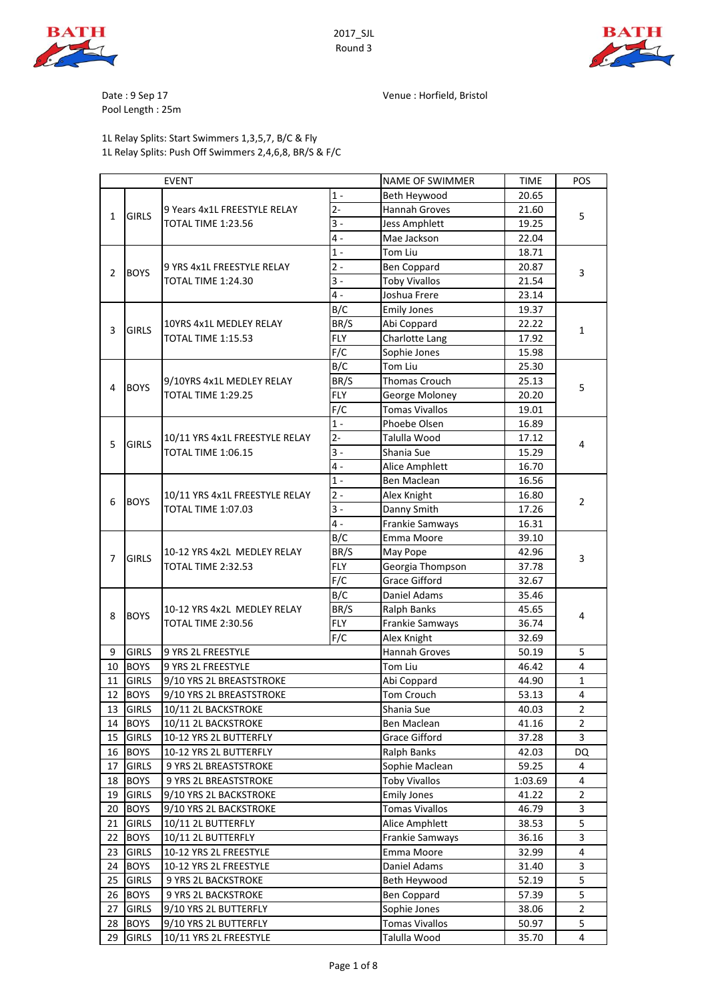

2017\_SJL Round 3



Date : 9 Sep 17 Venue : Horfield, Bristol

Pool Length : 25m

#### 1L Relay Splits: Start Swimmers 1,3,5,7, B/C & Fly 1L Relay Splits: Push Off Swimmers 2,4,6,8, BR/S & F/C

| <b>EVENT</b> |              |                                                 | <b>NAME OF SWIMMER</b> | <b>TIME</b>            | POS     |                |  |  |
|--------------|--------------|-------------------------------------------------|------------------------|------------------------|---------|----------------|--|--|
|              |              |                                                 | $1 -$                  | Beth Heywood           | 20.65   |                |  |  |
| 1            | <b>GIRLS</b> | 9 Years 4x1L FREESTYLE RELAY                    | $2 -$                  | Hannah Groves          | 21.60   | 5              |  |  |
|              |              | <b>TOTAL TIME 1:23.56</b>                       | $3 -$                  | <b>Jess Amphlett</b>   | 19.25   |                |  |  |
|              |              |                                                 | $\overline{4}$ -       | Mae Jackson            | 22.04   |                |  |  |
|              |              |                                                 | $1 -$                  | Tom Liu                | 18.71   | 3              |  |  |
|              | <b>BOYS</b>  | 9 YRS 4x1L FREESTYLE RELAY                      | $2 -$                  | <b>Ben Coppard</b>     | 20.87   |                |  |  |
| 2            |              | TOTAL TIME 1:24.30                              | $3 -$                  | <b>Toby Vivallos</b>   | 21.54   |                |  |  |
|              |              |                                                 | $4 -$                  | Joshua Frere           | 23.14   |                |  |  |
|              |              |                                                 | B/C                    | <b>Emily Jones</b>     | 19.37   |                |  |  |
|              | <b>GIRLS</b> | 10YRS 4x1L MEDLEY RELAY                         | BR/S                   | Abi Coppard            | 22.22   |                |  |  |
| 3            |              | TOTAL TIME 1:15.53                              | <b>FLY</b>             | Charlotte Lang         | 17.92   | 1              |  |  |
|              |              |                                                 | F/C                    | Sophie Jones           | 15.98   |                |  |  |
|              |              |                                                 | B/C                    | Tom Liu                | 25.30   |                |  |  |
|              |              | 9/10YRS 4x1L MEDLEY RELAY                       | BR/S                   | <b>Thomas Crouch</b>   | 25.13   |                |  |  |
| 4            | <b>BOYS</b>  | TOTAL TIME 1:29.25                              | <b>FLY</b>             | George Moloney         | 20.20   | 5              |  |  |
|              |              |                                                 | F/C                    | <b>Tomas Vivallos</b>  | 19.01   |                |  |  |
|              |              |                                                 | $1 -$                  | Phoebe Olsen           | 16.89   |                |  |  |
|              |              | 10/11 YRS 4x1L FREESTYLE RELAY                  | $2 -$                  | Talulla Wood           | 17.12   |                |  |  |
| 5            | <b>GIRLS</b> | <b>TOTAL TIME 1:06.15</b>                       | $3 -$                  | Shania Sue             | 15.29   | 4              |  |  |
|              |              |                                                 | $\overline{4}$ -       | Alice Amphlett         | 16.70   |                |  |  |
|              |              |                                                 | $1 -$                  | Ben Maclean            | 16.56   |                |  |  |
|              |              | 10/11 YRS 4x1L FREESTYLE RELAY                  | $2 -$                  | Alex Knight            | 16.80   |                |  |  |
| 6            | <b>BOYS</b>  | <b>TOTAL TIME 1:07.03</b>                       | $3 -$                  | Danny Smith            | 17.26   | $\overline{2}$ |  |  |
|              |              |                                                 | $\overline{4}$ -       | Frankie Samways        | 16.31   |                |  |  |
|              |              |                                                 | B/C                    | Emma Moore             | 39.10   |                |  |  |
| 7            | <b>GIRLS</b> | 10-12 YRS 4x2L MEDLEY RELAY                     | BR/S                   | May Pope               | 42.96   |                |  |  |
|              |              | TOTAL TIME 2:32.53                              | <b>FLY</b>             | Georgia Thompson       | 37.78   | 3              |  |  |
|              |              |                                                 | F/C                    | <b>Grace Gifford</b>   | 32.67   |                |  |  |
|              |              |                                                 | B/C                    | Daniel Adams           | 35.46   |                |  |  |
|              |              | 10-12 YRS 4x2L MEDLEY RELAY                     | BR/S                   | <b>Ralph Banks</b>     | 45.65   |                |  |  |
| 8            | <b>BOYS</b>  | TOTAL TIME 2:30.56                              | <b>FLY</b>             | Frankie Samways        | 36.74   | 4              |  |  |
|              |              |                                                 | F/C                    | Alex Knight            | 32.69   |                |  |  |
| 9            | <b>GIRLS</b> | 9 YRS 2L FREESTYLE                              |                        | Hannah Groves          | 50.19   | 5              |  |  |
| 10           | <b>BOYS</b>  | 9 YRS 2L FREESTYLE                              |                        | Tom Liu                | 46.42   | 4              |  |  |
| 11           | <b>GIRLS</b> | 9/10 YRS 2L BREASTSTROKE                        |                        | Abi Coppard            | 44.90   | $\mathbf{1}$   |  |  |
| 12           | <b>BOYS</b>  | 9/10 YRS 2L BREASTSTROKE                        |                        | Tom Crouch             | 53.13   | 4              |  |  |
| 13           | <b>GIRLS</b> | 10/11 2L BACKSTROKE                             |                        | Shania Sue             | 40.03   | $\overline{2}$ |  |  |
| 14           | <b>BOYS</b>  | 10/11 2L BACKSTROKE                             |                        | Ben Maclean            | 41.16   | 2              |  |  |
| 15           | <b>GIRLS</b> | 10-12 YRS 2L BUTTERFLY                          |                        | <b>Grace Gifford</b>   | 37.28   | 3              |  |  |
| 16           | <b>BOYS</b>  |                                                 |                        | <b>Ralph Banks</b>     | 42.03   | DQ             |  |  |
| 17           | <b>GIRLS</b> | 10-12 YRS 2L BUTTERFLY<br>9 YRS 2L BREASTSTROKE |                        | Sophie Maclean         | 59.25   | 4              |  |  |
|              |              |                                                 |                        |                        |         | 4              |  |  |
| 18           | <b>BOYS</b>  | 9 YRS 2L BREASTSTROKE                           |                        | <b>Toby Vivallos</b>   | 1:03.69 |                |  |  |
| 19           | <b>GIRLS</b> | 9/10 YRS 2L BACKSTROKE                          |                        | <b>Emily Jones</b>     | 41.22   | $\overline{c}$ |  |  |
| 20           | <b>BOYS</b>  | 9/10 YRS 2L BACKSTROKE                          |                        | <b>Tomas Vivallos</b>  | 46.79   | 3              |  |  |
| 21           | <b>GIRLS</b> | 10/11 2L BUTTERFLY                              |                        | Alice Amphlett         | 38.53   | 5              |  |  |
| 22           |              | <b>BOYS</b><br>10/11 2L BUTTERFLY               |                        | <b>Frankie Samways</b> | 36.16   | 3              |  |  |
| 23           | <b>GIRLS</b> | 10-12 YRS 2L FREESTYLE                          |                        | Emma Moore             | 32.99   | 4              |  |  |
| 24           | <b>BOYS</b>  | 10-12 YRS 2L FREESTYLE                          | Daniel Adams           | 31.40                  | 3       |                |  |  |
| 25           | <b>GIRLS</b> | 9 YRS 2L BACKSTROKE                             |                        | Beth Heywood           | 52.19   | 5              |  |  |
| 26           | <b>BOYS</b>  | 9 YRS 2L BACKSTROKE                             |                        | <b>Ben Coppard</b>     | 57.39   | 5              |  |  |
| 27           | <b>GIRLS</b> | 9/10 YRS 2L BUTTERFLY                           |                        | Sophie Jones           | 38.06   | $\overline{2}$ |  |  |
| 28           | <b>BOYS</b>  | 9/10 YRS 2L BUTTERFLY                           |                        | <b>Tomas Vivallos</b>  | 50.97   | 5              |  |  |
| 29           | <b>GIRLS</b> | 10/11 YRS 2L FREESTYLE                          |                        | Talulla Wood           | 35.70   | 4              |  |  |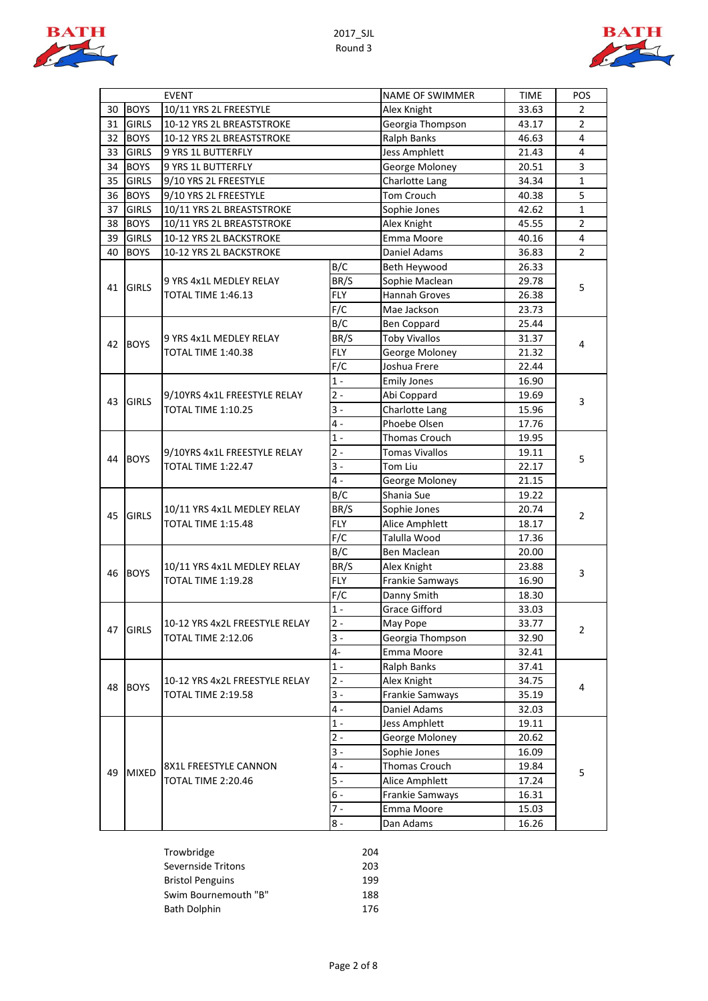



|    |              | <b>EVENT</b>                                      |                    | NAME OF SWIMMER       | <b>TIME</b>    | POS            |  |
|----|--------------|---------------------------------------------------|--------------------|-----------------------|----------------|----------------|--|
| 30 | <b>BOYS</b>  | 10/11 YRS 2L FREESTYLE                            |                    | Alex Knight           | 33.63          | 2              |  |
| 31 | <b>GIRLS</b> | 10-12 YRS 2L BREASTSTROKE                         | Georgia Thompson   | 43.17                 | $\overline{2}$ |                |  |
| 32 | <b>BOYS</b>  | 10-12 YRS 2L BREASTSTROKE                         | <b>Ralph Banks</b> | 46.63                 | 4              |                |  |
| 33 | <b>GIRLS</b> | 9 YRS 1L BUTTERFLY                                |                    | <b>Jess Amphlett</b>  | 21.43          | 4              |  |
| 34 | <b>BOYS</b>  | 9 YRS 1L BUTTERFLY                                |                    | George Moloney        | 20.51          | 3              |  |
| 35 | <b>GIRLS</b> | 9/10 YRS 2L FREESTYLE                             |                    | Charlotte Lang        | 34.34          | 1              |  |
| 36 | <b>BOYS</b>  | 9/10 YRS 2L FREESTYLE                             |                    | Tom Crouch            | 40.38          | 5              |  |
| 37 | <b>GIRLS</b> | 10/11 YRS 2L BREASTSTROKE                         |                    | Sophie Jones          | 42.62          | $\mathbf{1}$   |  |
| 38 | <b>BOYS</b>  | 10/11 YRS 2L BREASTSTROKE                         |                    | Alex Knight           | 45.55          | $\overline{2}$ |  |
| 39 | <b>GIRLS</b> | 10-12 YRS 2L BACKSTROKE                           |                    | Emma Moore            | 40.16          | 4              |  |
| 40 | <b>BOYS</b>  | 10-12 YRS 2L BACKSTROKE                           |                    | Daniel Adams          | 36.83          | $\overline{2}$ |  |
|    |              |                                                   | B/C                | Beth Heywood          | 26.33          |                |  |
| 41 | <b>GIRLS</b> | 9 YRS 4x1L MEDLEY RELAY                           | BR/S               | Sophie Maclean        | 29.78          | 5              |  |
|    |              | TOTAL TIME 1:46.13                                | <b>FLY</b>         | Hannah Groves         | 26.38          |                |  |
|    |              |                                                   | F/C                | Mae Jackson           | 23.73          |                |  |
|    |              |                                                   | B/C                | <b>Ben Coppard</b>    | 25.44          |                |  |
| 42 | <b>BOYS</b>  | 9 YRS 4x1L MEDLEY RELAY                           | BR/S               | <b>Toby Vivallos</b>  | 31.37          | 4              |  |
|    |              | TOTAL TIME 1:40.38                                | <b>FLY</b>         | George Moloney        | 21.32          |                |  |
|    |              |                                                   | F/C                | Joshua Frere          | 22.44          |                |  |
|    |              |                                                   | $1 -$              | <b>Emily Jones</b>    | 16.90          |                |  |
| 43 | <b>GIRLS</b> | 9/10YRS 4x1L FREESTYLE RELAY                      | $2 -$              | Abi Coppard           | 19.69          | 3              |  |
|    |              | <b>TOTAL TIME 1:10.25</b>                         | $3 -$              | Charlotte Lang        | 15.96          |                |  |
|    |              |                                                   | 4 -                | Phoebe Olsen          | 17.76          |                |  |
|    |              |                                                   | $1 -$              | Thomas Crouch         | 19.95          |                |  |
| 44 | <b>BOYS</b>  | 9/10YRS 4x1L FREESTYLE RELAY                      | $2 -$              | <b>Tomas Vivallos</b> | 19.11          | 5              |  |
|    |              | TOTAL TIME 1:22.47                                | $3 -$              | Tom Liu               | 22.17          |                |  |
|    |              |                                                   | 4 -                | George Moloney        | 21.15          |                |  |
|    |              | 10/11 YRS 4x1L MEDLEY RELAY<br>TOTAL TIME 1:15.48 | B/C                | Shania Sue            | 19.22          | 2              |  |
| 45 | <b>GIRLS</b> |                                                   | BR/S               | Sophie Jones          | 20.74          |                |  |
|    |              |                                                   | <b>FLY</b>         | Alice Amphlett        | 18.17          |                |  |
|    |              |                                                   | F/C                | Talulla Wood          | 17.36          |                |  |
|    |              |                                                   | B/C                | Ben Maclean           | 20.00          |                |  |
| 46 | <b>BOYS</b>  | 10/11 YRS 4x1L MEDLEY RELAY<br>TOTAL TIME 1:19.28 | BR/S               | Alex Knight           | 23.88          | 3              |  |
|    |              |                                                   | <b>FLY</b>         | Frankie Samways       | 16.90          |                |  |
|    |              |                                                   | F/C                | Danny Smith           | 18.30          |                |  |
|    |              |                                                   | $1 -$              | <b>Grace Gifford</b>  | 33.03          |                |  |
| 47 | <b>GIRLS</b> | 10-12 YRS 4x2L FREESTYLE RELAY                    | $2 -$              | May Pope              | 33.77          | $\overline{2}$ |  |
|    |              | <b>TOTAL TIME 2:12.06</b>                         | $3 -$              | Georgia Thompson      | 32.90          |                |  |
|    |              |                                                   | 4-                 | Emma Moore            | 32.41          |                |  |
|    |              |                                                   | $1 -$              | Ralph Banks           | 37.41          |                |  |
| 48 | <b>BOYS</b>  | 10-12 YRS 4x2L FREESTYLE RELAY                    | $2 -$              | Alex Knight           | 34.75          | 4              |  |
|    |              | <b>TOTAL TIME 2:19.58</b>                         | $3 -$              | Frankie Samways       | 35.19          |                |  |
|    |              |                                                   | $4 -$              | Daniel Adams          | 32.03          |                |  |
|    |              |                                                   | $1 -$              | <b>Jess Amphlett</b>  | 19.11          |                |  |
|    |              |                                                   | $2 -$              | George Moloney        | 20.62          |                |  |
|    |              |                                                   | $3 -$              | Sophie Jones          | 16.09          |                |  |
| 49 | <b>MIXED</b> | 8X1L FREESTYLE CANNON                             | 4 -                | Thomas Crouch         | 19.84          | 5              |  |
|    |              | TOTAL TIME 2:20.46                                | $5 -$              | Alice Amphlett        | 17.24          |                |  |
|    |              |                                                   | $6 -$              | Frankie Samways       | 16.31          |                |  |
|    |              |                                                   | $7 -$              | Emma Moore            | 15.03          |                |  |
|    |              |                                                   | 8 -                | Dan Adams             | 16.26          |                |  |

| Trowbridge              | 204 |
|-------------------------|-----|
| Severnside Tritons      | 203 |
| <b>Bristol Penguins</b> | 199 |
| Swim Bournemouth "B"    | 188 |
| <b>Bath Dolphin</b>     | 176 |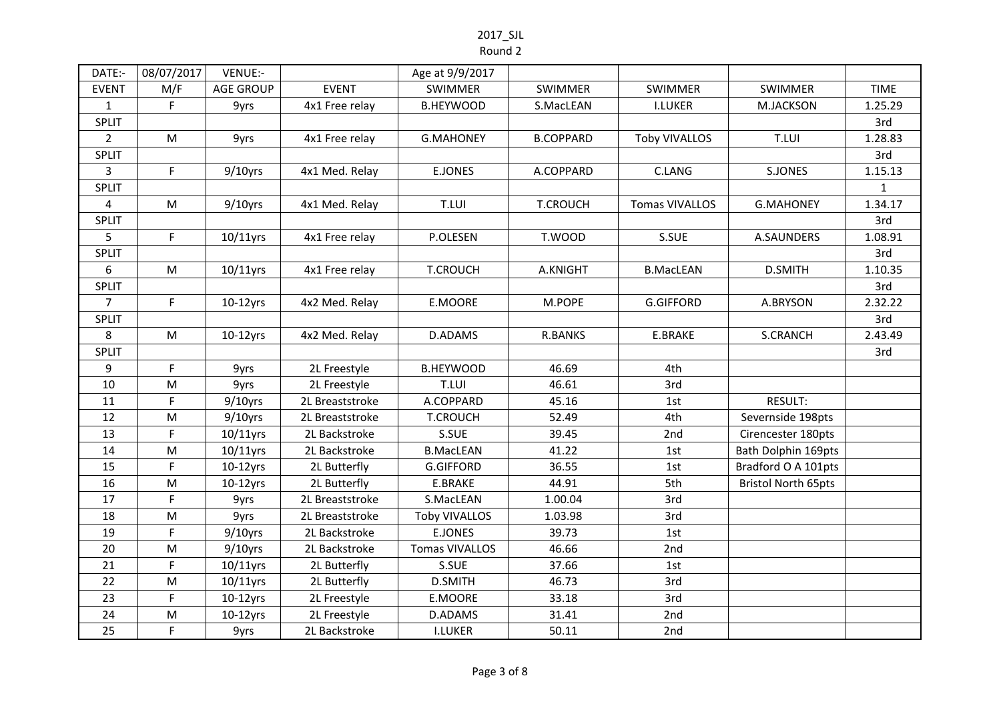| DATE:-         | 08/07/2017  | VENUE:-          |                 | Age at 9/9/2017       |                  |                      |                            |              |
|----------------|-------------|------------------|-----------------|-----------------------|------------------|----------------------|----------------------------|--------------|
| <b>EVENT</b>   | M/F         | <b>AGE GROUP</b> | <b>EVENT</b>    | <b>SWIMMER</b>        | <b>SWIMMER</b>   | <b>SWIMMER</b>       | <b>SWIMMER</b>             | <b>TIME</b>  |
| $\mathbf{1}$   | F           | 9yrs             | 4x1 Free relay  | <b>B.HEYWOOD</b>      | S.MacLEAN        | <b>I.LUKER</b>       | M.JACKSON                  | 1.25.29      |
| SPLIT          |             |                  |                 |                       |                  |                      |                            | 3rd          |
| $2^{\circ}$    | M           | 9yrs             | 4x1 Free relay  | <b>G.MAHONEY</b>      | <b>B.COPPARD</b> | <b>Toby VIVALLOS</b> | T.LUI                      | 1.28.83      |
| SPLIT          |             |                  |                 |                       |                  |                      |                            | 3rd          |
| 3              | $\mathsf F$ | $9/10$ yrs       | 4x1 Med. Relay  | <b>E.JONES</b>        | A.COPPARD        | C.LANG               | <b>S.JONES</b>             | 1.15.13      |
| <b>SPLIT</b>   |             |                  |                 |                       |                  |                      |                            | $\mathbf{1}$ |
| $\overline{4}$ | M           | $9/10$ yrs       | 4x1 Med. Relay  | T.LUI                 | <b>T.CROUCH</b>  | Tomas VIVALLOS       | <b>G.MAHONEY</b>           | 1.34.17      |
| <b>SPLIT</b>   |             |                  |                 |                       |                  |                      |                            | 3rd          |
| 5              | $\mathsf F$ | 10/11yrs         | 4x1 Free relay  | P.OLESEN              | T.WOOD           | S.SUE                | A.SAUNDERS                 | 1.08.91      |
| SPLIT          |             |                  |                 |                       |                  |                      |                            | 3rd          |
| 6              | M           | $10/11$ yrs      | 4x1 Free relay  | <b>T.CROUCH</b>       | A.KNIGHT         | <b>B.MacLEAN</b>     | <b>D.SMITH</b>             | 1.10.35      |
| <b>SPLIT</b>   |             |                  |                 |                       |                  |                      |                            | 3rd          |
| $\overline{7}$ | $\mathsf F$ | $10-12$ yrs      | 4x2 Med. Relay  | E.MOORE               | M.POPE           | <b>G.GIFFORD</b>     | A.BRYSON                   | 2.32.22      |
| SPLIT          |             |                  |                 |                       |                  |                      |                            | 3rd          |
| 8              | ${\sf M}$   | $10-12$ yrs      | 4x2 Med. Relay  | D.ADAMS               | <b>R.BANKS</b>   | E.BRAKE              | <b>S.CRANCH</b>            | 2.43.49      |
| <b>SPLIT</b>   |             |                  |                 |                       |                  |                      |                            | 3rd          |
| 9              | F           | 9yrs             | 2L Freestyle    | <b>B.HEYWOOD</b>      | 46.69            | 4th                  |                            |              |
| 10             | M           | 9yrs             | 2L Freestyle    | T.LUI                 | 46.61            | 3rd                  |                            |              |
| 11             | F           | $9/10$ yrs       | 2L Breaststroke | A.COPPARD             | 45.16            | 1st                  | RESULT:                    |              |
| 12             | M           | $9/10$ yrs       | 2L Breaststroke | <b>T.CROUCH</b>       | 52.49            | 4th                  | Severnside 198pts          |              |
| 13             | $\mathsf F$ | 10/11yrs         | 2L Backstroke   | S.SUE                 | 39.45            | 2nd                  | Cirencester 180pts         |              |
| 14             | ${\sf M}$   | 10/11yrs         | 2L Backstroke   | <b>B.MacLEAN</b>      | 41.22            | 1st                  | Bath Dolphin 169pts        |              |
| 15             | $\mathsf F$ | $10-12$ yrs      | 2L Butterfly    | <b>G.GIFFORD</b>      | 36.55            | 1st                  | Bradford O A 101pts        |              |
| 16             | ${\sf M}$   | $10-12$ yrs      | 2L Butterfly    | E.BRAKE               | 44.91            | 5th                  | <b>Bristol North 65pts</b> |              |
| 17             | $\mathsf F$ | 9yrs             | 2L Breaststroke | S.MacLEAN             | 1.00.04          | 3rd                  |                            |              |
| 18             | ${\sf M}$   | 9yrs             | 2L Breaststroke | <b>Toby VIVALLOS</b>  | 1.03.98          | 3rd                  |                            |              |
| 19             | $\mathsf F$ | $9/10$ yrs       | 2L Backstroke   | <b>E.JONES</b>        | 39.73            | 1st                  |                            |              |
| 20             | M           | $9/10$ yrs       | 2L Backstroke   | <b>Tomas VIVALLOS</b> | 46.66            | 2nd                  |                            |              |
| 21             | $\mathsf F$ | $10/11$ yrs      | 2L Butterfly    | S.SUE                 | 37.66            | 1st                  |                            |              |
| 22             | M           | 10/11yrs         | 2L Butterfly    | <b>D.SMITH</b>        | 46.73            | 3rd                  |                            |              |
| 23             | F           | $10-12$ yrs      | 2L Freestyle    | E.MOORE               | 33.18            | 3rd                  |                            |              |
| 24             | M           | $10-12$ yrs      | 2L Freestyle    | D.ADAMS               | 31.41            | 2nd                  |                            |              |
| 25             | F           | 9yrs             | 2L Backstroke   | <b>I.LUKER</b>        | 50.11            | 2nd                  |                            |              |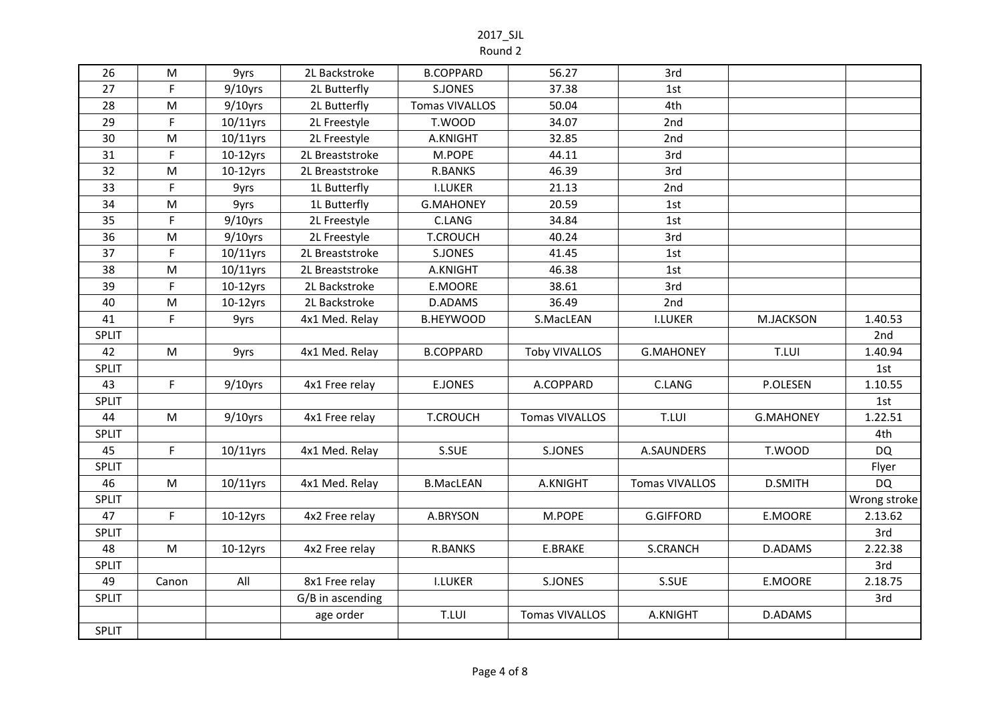Round 2

| 26           | M         | 9yrs        | 2L Backstroke    | <b>B.COPPARD</b>      | 56.27                 | 3rd              |                  |              |
|--------------|-----------|-------------|------------------|-----------------------|-----------------------|------------------|------------------|--------------|
| 27           | F.        | $9/10$ yrs  | 2L Butterfly     | S.JONES               | 37.38                 | 1st              |                  |              |
| 28           | M         | $9/10$ yrs  | 2L Butterfly     | <b>Tomas VIVALLOS</b> | 50.04                 | 4th              |                  |              |
| 29           | F.        | $10/11$ yrs | 2L Freestyle     | T.WOOD                | 34.07                 | 2nd              |                  |              |
| 30           | ${\sf M}$ | $10/11$ yrs | 2L Freestyle     | A.KNIGHT              | 32.85                 | 2nd              |                  |              |
| 31           | F         | $10-12$ yrs | 2L Breaststroke  | M.POPE                | 44.11                 | 3rd              |                  |              |
| 32           | M         | $10-12$ yrs | 2L Breaststroke  | R.BANKS               | 46.39                 | 3rd              |                  |              |
| 33           | F         | 9yrs        | 1L Butterfly     | <b>I.LUKER</b>        | 21.13                 | 2nd              |                  |              |
| 34           | M         | 9yrs        | 1L Butterfly     | <b>G.MAHONEY</b>      | 20.59                 | 1st              |                  |              |
| 35           | F         | $9/10$ yrs  | 2L Freestyle     | C.LANG                | 34.84                 | 1st              |                  |              |
| 36           | ${\sf M}$ | $9/10$ yrs  | 2L Freestyle     | <b>T.CROUCH</b>       | 40.24                 | 3rd              |                  |              |
| 37           | F.        | $10/11$ yrs | 2L Breaststroke  | S.JONES               | 41.45                 | 1st              |                  |              |
| 38           | ${\sf M}$ | $10/11$ yrs | 2L Breaststroke  | A.KNIGHT              | 46.38                 | 1st              |                  |              |
| 39           | F.        | $10-12$ yrs | 2L Backstroke    | E.MOORE               | 38.61                 | 3rd              |                  |              |
| 40           | ${\sf M}$ | $10-12$ yrs | 2L Backstroke    | D.ADAMS               | 36.49                 | 2nd              |                  |              |
| 41           | F.        | 9yrs        | 4x1 Med. Relay   | <b>B.HEYWOOD</b>      | S.MacLEAN             | <b>I.LUKER</b>   | <b>M.JACKSON</b> | 1.40.53      |
| <b>SPLIT</b> |           |             |                  |                       |                       |                  |                  | 2nd          |
| 42           | M         | 9yrs        | 4x1 Med. Relay   | <b>B.COPPARD</b>      | <b>Toby VIVALLOS</b>  | <b>G.MAHONEY</b> | T.LUI            | 1.40.94      |
| <b>SPLIT</b> |           |             |                  |                       |                       |                  |                  | 1st          |
| 43           | F.        | $9/10$ yrs  | 4x1 Free relay   | <b>E.JONES</b>        | A.COPPARD             | C.LANG           | P.OLESEN         | 1.10.55      |
| <b>SPLIT</b> |           |             |                  |                       |                       |                  |                  | 1st          |
| 44           | M         | $9/10$ yrs  | 4x1 Free relay   | <b>T.CROUCH</b>       | <b>Tomas VIVALLOS</b> | T.LUI            | <b>G.MAHONEY</b> | 1.22.51      |
| <b>SPLIT</b> |           |             |                  |                       |                       |                  |                  | 4th          |
| 45           | F         | $10/11$ yrs | 4x1 Med. Relay   | S.SUE                 | S.JONES               | A.SAUNDERS       | T.WOOD           | <b>DQ</b>    |
| <b>SPLIT</b> |           |             |                  |                       |                       |                  |                  | Flyer        |
| 46           | M         | 10/11yrs    | 4x1 Med. Relay   | <b>B.MacLEAN</b>      | A.KNIGHT              | Tomas VIVALLOS   | <b>D.SMITH</b>   | <b>DQ</b>    |
| <b>SPLIT</b> |           |             |                  |                       |                       |                  |                  | Wrong stroke |
| 47           | F         | $10-12$ yrs | 4x2 Free relay   | A.BRYSON              | M.POPE                | <b>G.GIFFORD</b> | E.MOORE          | 2.13.62      |
| <b>SPLIT</b> |           |             |                  |                       |                       |                  |                  | 3rd          |
| 48           | M         | $10-12$ yrs | 4x2 Free relay   | <b>R.BANKS</b>        | E.BRAKE               | <b>S.CRANCH</b>  | D.ADAMS          | 2.22.38      |
| <b>SPLIT</b> |           |             |                  |                       |                       |                  |                  | 3rd          |
| 49           | Canon     | All         | 8x1 Free relay   | <b>I.LUKER</b>        | S.JONES               | S.SUE            | E.MOORE          | 2.18.75      |
| <b>SPLIT</b> |           |             | G/B in ascending |                       |                       |                  |                  | 3rd          |
|              |           |             | age order        | T.LUI                 | <b>Tomas VIVALLOS</b> | A.KNIGHT         | D.ADAMS          |              |
| <b>SPLIT</b> |           |             |                  |                       |                       |                  |                  |              |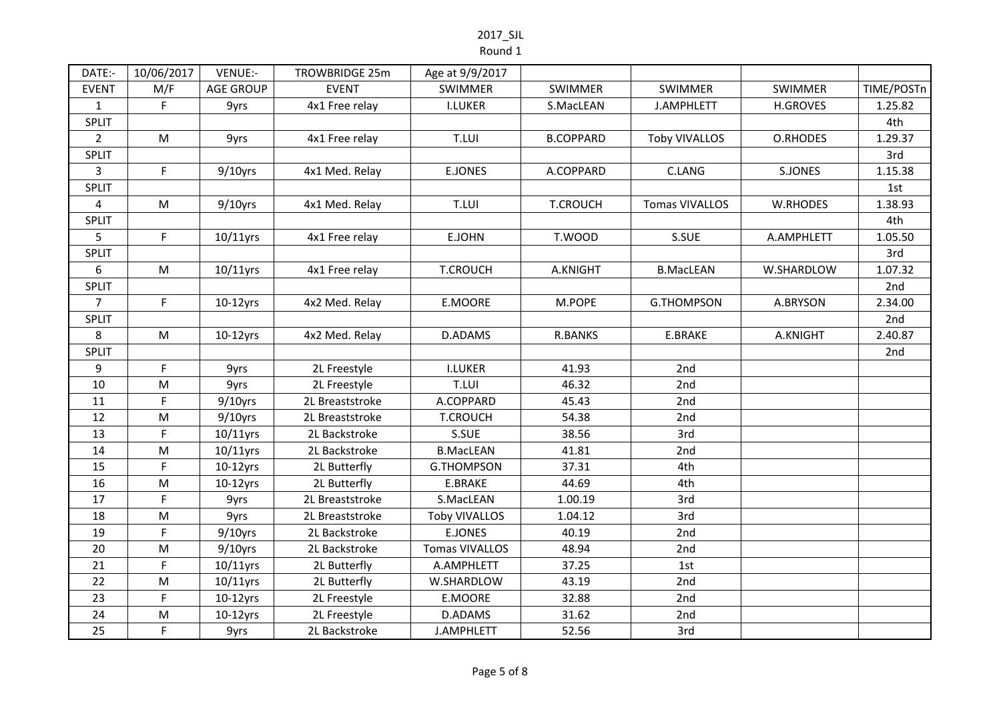#### Round 1

| DATE:-         | 10/06/2017  | VENUE:-          | TROWBRIDGE 25m  | Age at 9/9/2017       |                  |                       |                 |            |
|----------------|-------------|------------------|-----------------|-----------------------|------------------|-----------------------|-----------------|------------|
| <b>EVENT</b>   | M/F         | <b>AGE GROUP</b> | <b>EVENT</b>    | <b>SWIMMER</b>        | <b>SWIMMER</b>   | <b>SWIMMER</b>        | <b>SWIMMER</b>  | TIME/POSTn |
| $\mathbf{1}$   | F           | 9yrs             | 4x1 Free relay  | <b>I.LUKER</b>        | S.MacLEAN        | J.AMPHLETT            | <b>H.GROVES</b> | 1.25.82    |
| SPLIT          |             |                  |                 |                       |                  |                       |                 | 4th        |
| $\overline{2}$ | ${\sf M}$   | 9yrs             | 4x1 Free relay  | T.LUI                 | <b>B.COPPARD</b> | <b>Toby VIVALLOS</b>  | O.RHODES        | 1.29.37    |
| SPLIT          |             |                  |                 |                       |                  |                       |                 | 3rd        |
| 3              | $\mathsf F$ | $9/10$ yrs       | 4x1 Med. Relay  | E.JONES               | A.COPPARD        | C.LANG                | S.JONES         | 1.15.38    |
| SPLIT          |             |                  |                 |                       |                  |                       |                 | 1st        |
| $\overline{a}$ | M           | $9/10$ yrs       | 4x1 Med. Relay  | T.LUI                 | <b>T.CROUCH</b>  | <b>Tomas VIVALLOS</b> | W.RHODES        | 1.38.93    |
| SPLIT          |             |                  |                 |                       |                  |                       |                 | 4th        |
| 5              | F           | $10/11$ yrs      | 4x1 Free relay  | E.JOHN                | T.WOOD           | S.SUE                 | A.AMPHLETT      | 1.05.50    |
| SPLIT          |             |                  |                 |                       |                  |                       |                 | 3rd        |
| 6              | M           | $10/11$ yrs      | 4x1 Free relay  | <b>T.CROUCH</b>       | A.KNIGHT         | <b>B.MacLEAN</b>      | W.SHARDLOW      | 1.07.32    |
| SPLIT          |             |                  |                 |                       |                  |                       |                 | 2nd        |
| $\overline{7}$ | $\mathsf F$ | $10-12$ yrs      | 4x2 Med. Relay  | E.MOORE               | M.POPE           | <b>G.THOMPSON</b>     | A.BRYSON        | 2.34.00    |
| SPLIT          |             |                  |                 |                       |                  |                       |                 | 2nd        |
| 8              | M           | $10-12$ yrs      | 4x2 Med. Relay  | <b>D.ADAMS</b>        | <b>R.BANKS</b>   | E.BRAKE               | A.KNIGHT        | 2.40.87    |
| SPLIT          |             |                  |                 |                       |                  |                       |                 | 2nd        |
| 9              | F           | 9yrs             | 2L Freestyle    | <b>I.LUKER</b>        | 41.93            | 2nd                   |                 |            |
| 10             | M           | 9yrs             | 2L Freestyle    | T.LUI                 | 46.32            | 2nd                   |                 |            |
| 11             | F           | $9/10$ yrs       | 2L Breaststroke | A.COPPARD             | 45.43            | 2nd                   |                 |            |
| 12             | M           | $9/10$ yrs       | 2L Breaststroke | <b>T.CROUCH</b>       | 54.38            | 2nd                   |                 |            |
| 13             | F           | $10/11$ yrs      | 2L Backstroke   | S.SUE                 | 38.56            | 3rd                   |                 |            |
| 14             | ${\sf M}$   | $10/11$ yrs      | 2L Backstroke   | <b>B.MacLEAN</b>      | 41.81            | 2nd                   |                 |            |
| 15             | F           | $10-12$ yrs      | 2L Butterfly    | <b>G.THOMPSON</b>     | 37.31            | 4th                   |                 |            |
| 16             | M           | $10-12$ yrs      | 2L Butterfly    | E.BRAKE               | 44.69            | 4th                   |                 |            |
| 17             | $\mathsf F$ | 9yrs             | 2L Breaststroke | S.MacLEAN             | 1.00.19          | 3rd                   |                 |            |
| 18             | M           | 9yrs             | 2L Breaststroke | <b>Toby VIVALLOS</b>  | 1.04.12          | 3rd                   |                 |            |
| 19             | F           | $9/10$ yrs       | 2L Backstroke   | <b>E.JONES</b>        | 40.19            | 2nd                   |                 |            |
| 20             | M           | $9/10$ yrs       | 2L Backstroke   | <b>Tomas VIVALLOS</b> | 48.94            | 2nd                   |                 |            |
| 21             | F.          | $10/11$ yrs      | 2L Butterfly    | A.AMPHLETT            | 37.25            | 1st                   |                 |            |
| 22             | M           | $10/11$ yrs      | 2L Butterfly    | W.SHARDLOW            | 43.19            | 2nd                   |                 |            |
| 23             | F.          | $10-12$ yrs      | 2L Freestyle    | E.MOORE               | 32.88            | 2nd                   |                 |            |
| 24             | M           | $10-12$ yrs      | 2L Freestyle    | D.ADAMS               | 31.62            | 2nd                   |                 |            |
| 25             | F           | 9yrs             | 2L Backstroke   | J.AMPHLETT            | 52.56            | 3rd                   |                 |            |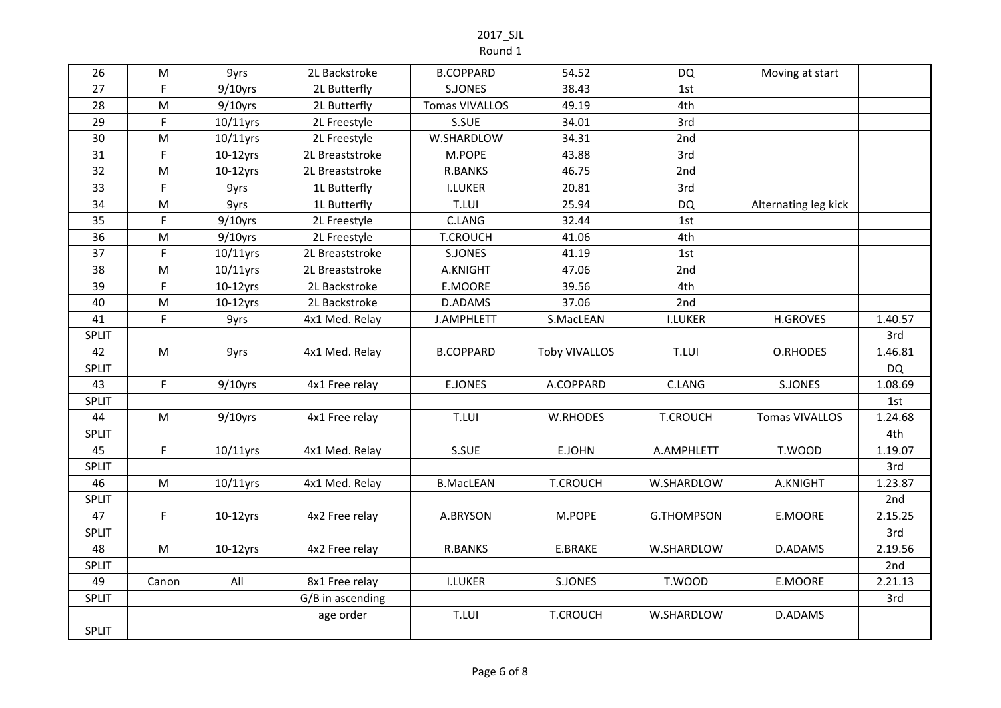Round 1

| 26           | M         | 9yrs        | 2L Backstroke    | <b>B.COPPARD</b>      | 54.52                | <b>DQ</b>         | Moving at start       |           |
|--------------|-----------|-------------|------------------|-----------------------|----------------------|-------------------|-----------------------|-----------|
| 27           | F.        | $9/10$ yrs  | 2L Butterfly     | S.JONES               | 38.43                | 1st               |                       |           |
| 28           | ${\sf M}$ | $9/10$ yrs  | 2L Butterfly     | <b>Tomas VIVALLOS</b> | 49.19                | 4th               |                       |           |
| 29           | F         | $10/11$ yrs | 2L Freestyle     | S.SUE                 | 34.01                | 3rd               |                       |           |
| 30           | ${\sf M}$ | 10/11yrs    | 2L Freestyle     | W.SHARDLOW            | 34.31                | 2nd               |                       |           |
| 31           | F.        | $10-12$ yrs | 2L Breaststroke  | M.POPE                | 43.88                | 3rd               |                       |           |
| 32           | ${\sf M}$ | $10-12$ yrs | 2L Breaststroke  | <b>R.BANKS</b>        | 46.75                | 2nd               |                       |           |
| 33           | F         | 9yrs        | 1L Butterfly     | <b>I.LUKER</b>        | 20.81                | 3rd               |                       |           |
| 34           | ${\sf M}$ | 9yrs        | 1L Butterfly     | T.LUI                 | 25.94                | <b>DQ</b>         | Alternating leg kick  |           |
| 35           | F         | $9/10$ yrs  | 2L Freestyle     | C.LANG                | 32.44                | 1st               |                       |           |
| 36           | M         | $9/10$ yrs  | 2L Freestyle     | <b>T.CROUCH</b>       | 41.06                | 4th               |                       |           |
| 37           | F.        | 10/11yrs    | 2L Breaststroke  | S.JONES               | 41.19                | 1st               |                       |           |
| 38           | M         | 10/11yrs    | 2L Breaststroke  | A.KNIGHT              | 47.06                | 2nd               |                       |           |
| 39           | F         | $10-12$ yrs | 2L Backstroke    | E.MOORE               | 39.56                | 4th               |                       |           |
| 40           | M         | $10-12$ yrs | 2L Backstroke    | D.ADAMS               | 37.06                | 2nd               |                       |           |
| 41           | F.        | 9yrs        | 4x1 Med. Relay   | <b>J.AMPHLETT</b>     | S.MacLEAN            | <b>I.LUKER</b>    | <b>H.GROVES</b>       | 1.40.57   |
| <b>SPLIT</b> |           |             |                  |                       |                      |                   |                       | 3rd       |
| 42           | ${\sf M}$ | 9yrs        | 4x1 Med. Relay   | <b>B.COPPARD</b>      | <b>Toby VIVALLOS</b> | T.LUI             | O.RHODES              | 1.46.81   |
| <b>SPLIT</b> |           |             |                  |                       |                      |                   |                       | <b>DQ</b> |
| 43           | F         | $9/10$ yrs  | 4x1 Free relay   | <b>E.JONES</b>        | A.COPPARD            | C.LANG            | S.JONES               | 1.08.69   |
| <b>SPLIT</b> |           |             |                  |                       |                      |                   |                       | 1st       |
| 44           | ${\sf M}$ | $9/10$ yrs  | 4x1 Free relay   | T.LUI                 | <b>W.RHODES</b>      | <b>T.CROUCH</b>   | <b>Tomas VIVALLOS</b> | 1.24.68   |
| <b>SPLIT</b> |           |             |                  |                       |                      |                   |                       | 4th       |
| 45           | F         | 10/11yrs    | 4x1 Med. Relay   | S.SUE                 | E.JOHN               | A.AMPHLETT        | T.WOOD                | 1.19.07   |
| <b>SPLIT</b> |           |             |                  |                       |                      |                   |                       | 3rd       |
| 46           | M         | $10/11$ yrs | 4x1 Med. Relay   | <b>B.MacLEAN</b>      | <b>T.CROUCH</b>      | W.SHARDLOW        | A.KNIGHT              | 1.23.87   |
| <b>SPLIT</b> |           |             |                  |                       |                      |                   |                       | 2nd       |
| 47           | F.        | $10-12$ yrs | 4x2 Free relay   | A.BRYSON              | M.POPE               | <b>G.THOMPSON</b> | E.MOORE               | 2.15.25   |
| <b>SPLIT</b> |           |             |                  |                       |                      |                   |                       | 3rd       |
| 48           | ${\sf M}$ | $10-12$ yrs | 4x2 Free relay   | <b>R.BANKS</b>        | E.BRAKE              | W.SHARDLOW        | D.ADAMS               | 2.19.56   |
| <b>SPLIT</b> |           |             |                  |                       |                      |                   |                       | 2nd       |
| 49           | Canon     | All         | 8x1 Free relay   | <b>I.LUKER</b>        | S.JONES              | T.WOOD            | E.MOORE               | 2.21.13   |
| SPLIT        |           |             | G/B in ascending |                       |                      |                   |                       | 3rd       |
|              |           |             | age order        | T.LUI                 | <b>T.CROUCH</b>      | W.SHARDLOW        | D.ADAMS               |           |
| <b>SPLIT</b> |           |             |                  |                       |                      |                   |                       |           |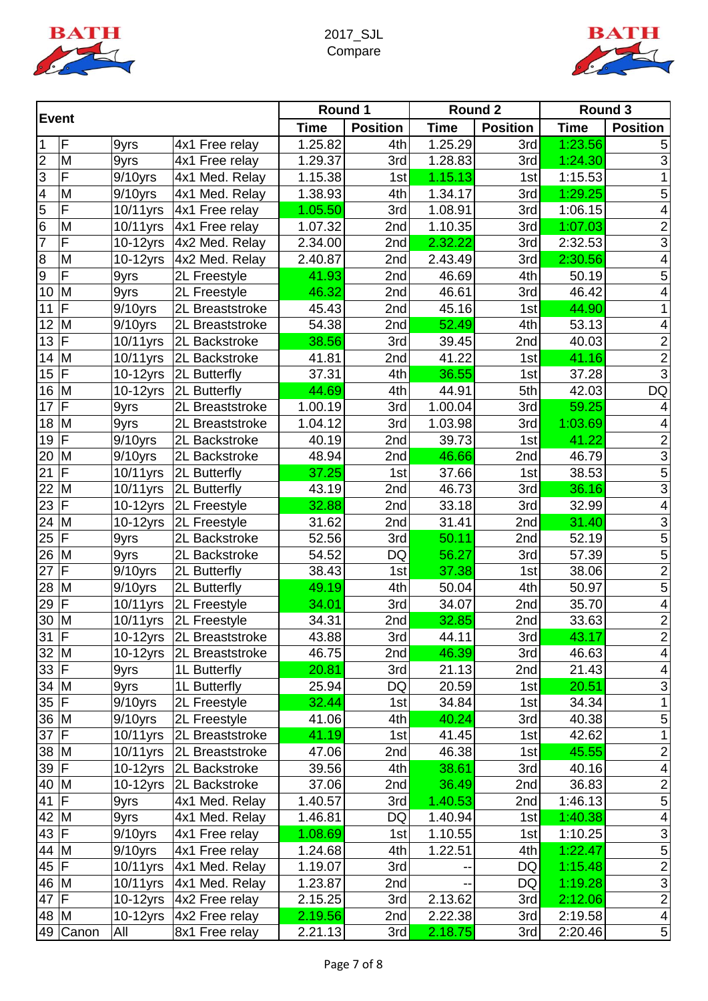



| <b>Event</b>     |              |                        | Round 1         |             | Round 2         |             | <b>Round 3</b>  |             |                 |
|------------------|--------------|------------------------|-----------------|-------------|-----------------|-------------|-----------------|-------------|-----------------|
|                  |              |                        |                 | <b>Time</b> | <b>Position</b> | <b>Time</b> | <b>Position</b> | <b>Time</b> | <b>Position</b> |
| 1                | F            | 9yrs                   | 4x1 Free relay  | 1.25.82     | 4th             | 1.25.29     | 3rd             | 1:23.56     | 5               |
| $\overline{2}$   | M            | 9yrs                   | 4x1 Free relay  | 1.29.37     | 3rd             | 1.28.83     | 3rd             | 1:24.30     | 3               |
| $\overline{3}$   | F            | 9/10yrs                | 4x1 Med. Relay  | 1.15.38     | 1st             | 1.15.13     | 1st             | 1:15.53     |                 |
| $\overline{4}$   | M            | $9/10$ yrs             | 4x1 Med. Relay  | 1.38.93     | 4th             | 1.34.17     | 3rd             | 1:29.25     | 5               |
| 5                | F            | 10/11yrs               | 4x1 Free relay  | 1.05.50     | 3rd             | 1.08.91     | 3rd             | 1:06.15     | 4               |
| 6                | M            | 10/11yrs               | 4x1 Free relay  | 1.07.32     | 2nd             | 1.10.35     | 3rd             | 1:07.03     | $\overline{2}$  |
| 7                | F            | 10-12yrs               | 4x2 Med. Relay  | 2.34.00     | 2nd             | 2.32.22     | 3rd             | 2:32.53     | $\overline{3}$  |
| 8                | M            | 10-12yrs               | 4x2 Med. Relay  | 2.40.87     | 2nd             | 2.43.49     | 3rd             | 2:30.56     | 4               |
| $\boldsymbol{9}$ | F            | 9yrs                   | 2L Freestyle    | 41.93       | 2nd             | 46.69       | 4th             | 50.19       | 5               |
| 10               | M            | 9yrs                   | 2L Freestyle    | 46.32       | 2nd             | 46.61       | 3rd             | 46.42       | 4               |
| 11               | F            | $9/10$ yrs             | 2L Breaststroke | 45.43       | 2nd             | 45.16       | 1st             | 44.90       | 1               |
| 12               | M            | $9/10$ yrs             | 2L Breaststroke | 54.38       | 2nd             | 52.49       | 4th             | 53.13       | 4               |
| 13               | F            | 10/11yrs               | 2L Backstroke   | 38.56       | 3rd             | 39.45       | 2nd             | 40.03       | $\overline{c}$  |
| 14               | M            | 10/11yrs               | 2L Backstroke   | 41.81       | 2nd             | 41.22       | 1st             | 41.16       | $\overline{2}$  |
| 15               | F            | 10-12yrs               | 2L Butterfly    | 37.31       | 4th             | 36.55       | 1st             | 37.28       | $\overline{3}$  |
| 16               | M            | 10-12yrs               | 2L Butterfly    | 44.69       | 4th             | 44.91       | 5th             | 42.03       | <b>DQ</b>       |
| 17               | F            | 9yrs                   | 2L Breaststroke | 1.00.19     | 3rd             | 1.00.04     | 3rd             | 59.25       | 4               |
| 18               | M            | 9yrs                   | 2L Breaststroke | 1.04.12     | 3rd             | 1.03.98     | 3rd             | 1:03.69     | 4               |
| 19               | $\mathsf{F}$ | $9/10$ yrs             | 2L Backstroke   | 40.19       | 2nd             | 39.73       | 1st             | 41.22       | $\overline{2}$  |
| 20               | M            | $9/10$ yrs             | 2L Backstroke   | 48.94       | 2nd             | 46.66       | 2nd             | 46.79       | $\overline{3}$  |
| 21               | F            | 10/11yrs               | 2L Butterfly    | 37.25       | 1st             | 37.66       | 1st             | 38.53       | $\overline{5}$  |
| 22               | M            | $\overline{10}/11$ yrs | 2L Butterfly    | 43.19       | 2nd             | 46.73       | 3rd             | 36.16       | $\overline{3}$  |
| 23               | F            | 10-12yrs               | 2L Freestyle    | 32.88       | 2nd             | 33.18       | 3rd             | 32.99       | 4               |
| 24               | M            | 10-12yrs               | 2L Freestyle    | 31.62       | 2nd             | 31.41       | 2nd             | 31.40       | $\overline{3}$  |
| 25               | $\mathsf{F}$ | 9yrs                   | 2L Backstroke   | 52.56       | 3rd             | 50.11       | 2nd             | 52.19       | $\overline{5}$  |
| 26               | M            | 9yrs                   | 2L Backstroke   | 54.52       | DQ              | 56.27       | 3rd             | 57.39       | 5               |
| 27               | F            | 9/10yrs                | 2L Butterfly    | 38.43       | 1st             | 37.38       | 1st             | 38.06       | $\overline{2}$  |
| 28               | M            | $9/10$ yrs             | 2L Butterfly    | 49.19       | 4th             | 50.04       | 4th             | 50.97       | $\overline{5}$  |
| 29               | $\mathsf{F}$ | 10/11yrs               | 2L Freestyle    | 34.01       | 3rd             | 34.07       | 2nd             | 35.70       | 4               |
| 30               | M            | 10/11yrs               | 2L Freestyle    | 34.31       | 2nd             | 32.85       | 2nd             | 33.63       | $\overline{2}$  |
| $31$ F           |              | 10-12yrs               | 2L Breaststroke | 43.88       | 3rd             | 44.11       | 3rd             | 43.17       | $\overline{c}$  |
| $32$ M           |              | 10-12yrs               | 2L Breaststroke | 46.75       | 2nd             | 46.39       | 3rd             | 46.63       | $\overline{4}$  |
| 33 F             |              | 9yrs                   | 1L Butterfly    | 20.81       | 3rd             | 21.13       | 2nd             | 21.43       | 4               |
| 34 M             |              | 9yrs                   | 1L Butterfly    | 25.94       | DQ              | 20.59       | 1st             | 20.51       | $\overline{3}$  |
| $35$ F           |              | $9/10$ yrs             | 2L Freestyle    | 32.44       | 1st             | 34.84       | 1st             | 34.34       | 1               |
| 36 M             |              | $9/10$ yrs             | 2L Freestyle    | 41.06       | 4th             | 40.24       | 3rd             | 40.38       | 5               |
| 37               | F            | 10/11yrs               | 2L Breaststroke | 41.19       | 1st             | 41.45       | 1st             | 42.62       | 1               |
| 38               | M            | 10/11yrs               | 2L Breaststroke | 47.06       | 2nd             | 46.38       | 1st             | 45.55       | $\overline{2}$  |
| 39               | IF           | 10-12yrs               | 2L Backstroke   | 39.56       | 4th             | 38.61       | 3rd             | 40.16       | 4               |
| 40               | M            | 10-12yrs               | 2L Backstroke   | 37.06       | 2nd             | 36.49       | 2nd             | 36.83       | $\overline{2}$  |
| 41               | F            | 9yrs                   | 4x1 Med. Relay  | 1.40.57     | 3rd             | 1.40.53     | 2nd             | 1:46.13     | $\mathbf 5$     |
| 42 M             |              | 9yrs                   | 4x1 Med. Relay  | 1.46.81     | DQ              | 1.40.94     | 1st             | 1:40.38     | 4               |
| 43               | F            | $9/10$ yrs             | 4x1 Free relay  | 1.08.69     | 1st             | 1.10.55     | 1st             | 1:10.25     | $\overline{3}$  |
| 44 M             |              | $9/10$ yrs             | 4x1 Free relay  | 1.24.68     | 4th             | 1.22.51     | 4th             | 1:22.47     | $\overline{5}$  |
| 45 F             |              | 10/11yrs               | 4x1 Med. Relay  | 1.19.07     | 3rd             |             | DQ              | 1:15.48     | $\overline{2}$  |
| 46 M             |              | 10/11yrs               | 4x1 Med. Relay  | 1.23.87     | 2nd             |             | DQ              | 1:19.28     | $\overline{3}$  |
| 47               | F            | $10-12$ yrs            | 4x2 Free relay  | 2.15.25     | 3rd             | 2.13.62     | 3rd             | 2:12.06     | $\overline{2}$  |
| 48               | M            | $10-12$ yrs            | 4x2 Free relay  | 2.19.56     | 2nd             | 2.22.38     | 3rd             | 2:19.58     | $\overline{4}$  |
| 49               | Canon        | All                    | 8x1 Free relay  | 2.21.13     | 3rd             | 2.18.75     | 3rd             | 2:20.46     | $5\vert$        |